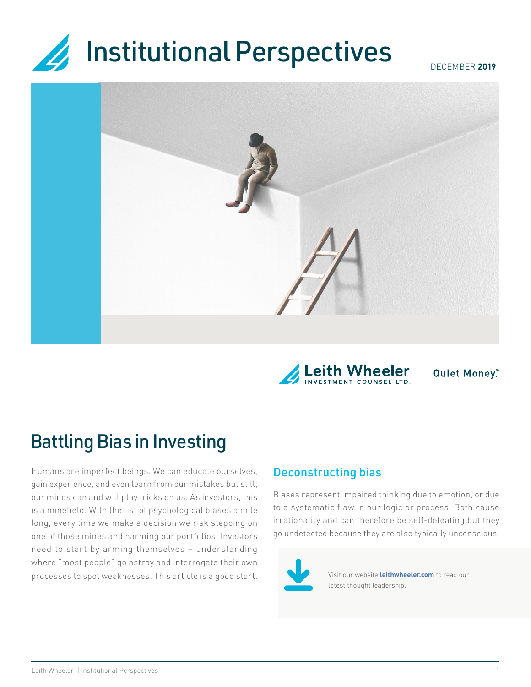# **Institutional Perspectives**  $\overline{\mathbf{z}}$



**Quiet Money.** 

# Battling Bias in Investing

Humans are imperfect beings. We can educate ourselves, gain experience, and even learn from our mistakes but still, our minds can and will play tricks on us. As investors, this is a minefield. With the list of psychological biases a mile long, every time we make a decision we risk stepping on one of those mines and harming our portfolios. Investors need to start by arming themselves – understanding where "most people" go astray and interrogate their own processes to spot weaknesses. This article is a good start.

## Deconstructing bias

Biases represent impaired thinking due to emotion, or due to a systematic flaw in our logic or process. Both cause irrationality and can therefore be self-defeating but they go undetected because they are also typically unconscious.



Visit our website **[leithwheeler.com](http://leithwheeler.com)** to read our latest thought leadership.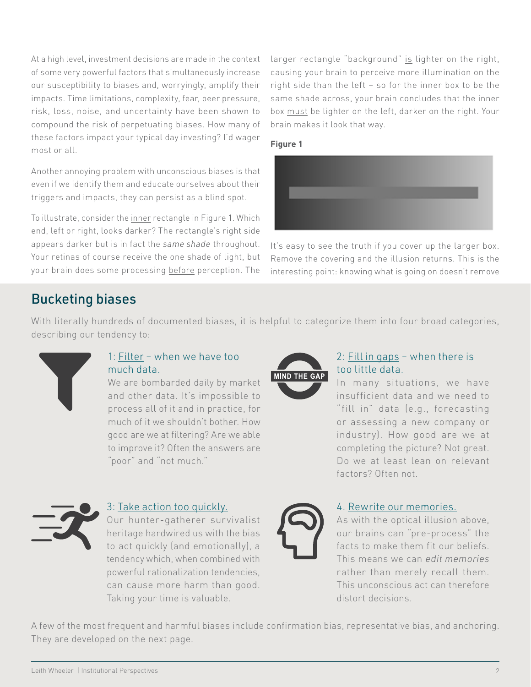At a high level, investment decisions are made in the context of some very powerful factors that simultaneously increase our susceptibility to biases and, worryingly, amplify their impacts. Time limitations, complexity, fear, peer pressure, risk, loss, noise, and uncertainty have been shown to compound the risk of perpetuating biases. How many of these factors impact your typical day investing? I'd wager most or all.

Another annoying problem with unconscious biases is that even if we identify them and educate ourselves about their triggers and impacts, they can persist as a blind spot.

To illustrate, consider the inner rectangle in Figure 1. Which end, left or right, looks darker? The rectangle's right side appears darker but is in fact the *same shade* throughout. Your retinas of course receive the one shade of light, but your brain does some processing before perception. The

larger rectangle "background" is lighter on the right, causing your brain to perceive more illumination on the right side than the left – so for the inner box to be the same shade across, your brain concludes that the inner box must be lighter on the left, darker on the right. Your brain makes it look that way.





It's easy to see the truth if you cover up the larger box. Remove the covering and the illusion returns. This is the interesting point: knowing what is going on doesn't remove

# Bucketing biases

With literally hundreds of documented biases, it is helpful to categorize them into four broad categories, describing our tendency to:



### 1: Filter – when we have too much data.

We are bombarded daily by market and other data. It's impossible to process all of it and in practice, for much of it we shouldn't bother. How good are we at filtering? Are we able to improve it? Often the answers are "poor" and "not much."



### 2: Fill in gaps – when there is too little data.

In many situations, we have insufficient data and we need to "fill in" data (e.g., forecasting or assessing a new company or industry). How good are we at completing the picture? Not great. Do we at least lean on relevant factors? Often not.



#### 3: Take action too quickly.

Our hunter-gatherer survivalist heritage hardwired us with the bias to act quickly (and emotionally), a tendency which, when combined with powerful rationalization tendencies, can cause more harm than good. Taking your time is valuable.



#### 4. Rewrite our memories.

As with the optical illusion above, our brains can "pre-process" the facts to make them fit our beliefs. This means we can *edit memories* rather than merely recall them. This unconscious act can therefore distort decisions.

A few of the most frequent and harmful biases include confirmation bias, representative bias, and anchoring. They are developed on the next page.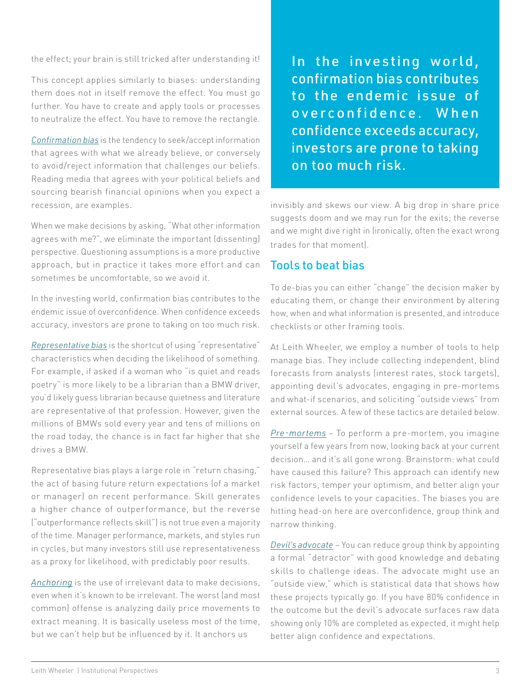the effect; your brain is still tricked after understanding it!

This concept applies similarly to biases: understanding them does not in itself remove the effect. You must go further. You have to create and apply tools or processes to neutralize the effect. You have to remove the rectangle.

*Confirmation bias* is the tendency to seek/accept information that agrees with what we already believe, or conversely to avoid/reject information that challenges our beliefs. Reading media that agrees with your political beliefs and sourcing bearish financial opinions when you expect a recession, are examples.

When we make decisions by asking, "What other information agrees with me?", we eliminate the important (dissenting) perspective. Questioning assumptions is a more productive approach, but in practice it takes more effort and can sometimes be uncomfortable, so we avoid it.

In the investing world, confirmation bias contributes to the endemic issue of overconfidence. When confidence exceeds accuracy, investors are prone to taking on too much risk.

*Representative bias* is the shortcut of using "representative" characteristics when deciding the likelihood of something. For example, if asked if a woman who "is quiet and reads poetry" is more likely to be a librarian than a BMW driver, you'd likely guess librarian because quietness and literature are representative of that profession. However, given the millions of BMWs sold every year and tens of millions on the road today, the chance is in fact far higher that she drives a BMW.

Representative bias plays a large role in "return chasing," the act of basing future return expectations (of a market or manager) on recent performance. Skill generates a higher chance of outperformance, but the reverse ("outperformance reflects skill") is not true even a majority of the time. Manager performance, markets, and styles run in cycles, but many investors still use representativeness as a proxy for likelihood, with predictably poor results.

*Anchoring* is the use of irrelevant data to make decisions, even when it's known to be irrelevant. The worst (and most common) offense is analyzing daily price movements to extract meaning. It is basically useless most of the time, but we can't help but be influenced by it. It anchors us

In the investing world, confirmation bias contributes to the endemic is sue of o v e r c o n f i d e n c e . W h e n confidence exceeds accuracy, investors are prone to taking on too much risk.

invisibly and skews our view. A big drop in share price suggests doom and we may run for the exits; the reverse and we might dive right in (ironically, often the exact wrong trades for that moment).

## Tools to beat bias

To de-bias you can either "change" the decision maker by educating them, or change their environment by altering how, when and what information is presented, and introduce checklists or other framing tools.

At Leith Wheeler, we employ a number of tools to help manage bias. They include collecting independent, blind forecasts from analysts (interest rates, stock targets), appointing devil's advocates, engaging in pre-mortems and what-if scenarios, and soliciting "outside views" from external sources. A few of these tactics are detailed below.

*Pre-mortems* – To perform a pre-mortem, you imagine yourself a few years from now, looking back at your current decision… and it's all gone wrong. Brainstorm: what could have caused this failure? This approach can identify new risk factors, temper your optimism, and better align your confidence levels to your capacities. The biases you are hitting head-on here are overconfidence, group think and narrow thinking.

*Devil's advocate* – You can reduce group think by appointing a formal "detractor" with good knowledge and debating skills to challenge ideas. The advocate might use an "outside view," which is statistical data that shows how these projects typically go. If you have 80% confidence in the outcome but the devil's advocate surfaces raw data showing only 10% are completed as expected, it might help better align confidence and expectations.